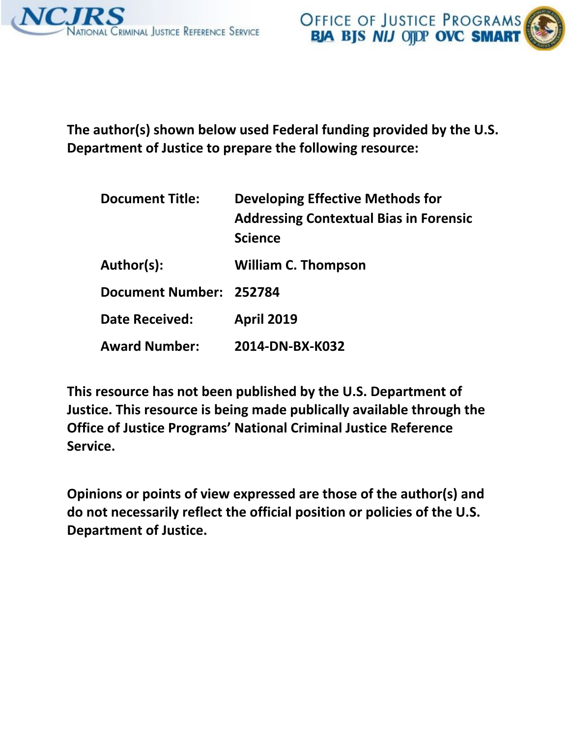



**The author(s) shown below used Federal funding provided by the U.S. Department of Justice to prepare the following resource:** 

| <b>Document Title:</b>  | Developing Effective Methods for<br><b>Addressing Contextual Bias in Forensic</b><br><b>Science</b> |
|-------------------------|-----------------------------------------------------------------------------------------------------|
| Author(s):              | <b>William C. Thompson</b>                                                                          |
| Document Number: 252784 |                                                                                                     |
| <b>Date Received:</b>   | <b>April 2019</b>                                                                                   |
| <b>Award Number:</b>    | 2014-DN-BX-K032                                                                                     |

**This resource has not been published by the U.S. Department of Justice. This resource is being made publically available through the Office of Justice Programs' National Criminal Justice Reference Service.**

**Opinions or points of view expressed are those of the author(s) and do not necessarily reflect the official position or policies of the U.S. Department of Justice.**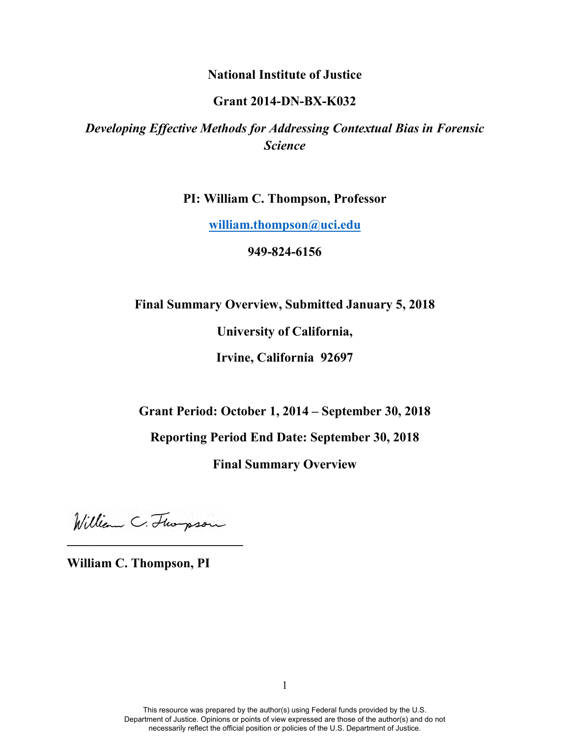## **National Institute of Justice**

## **Grant 2014-DN-BX-K032**

# *Developing Effective Methods for Addressing Contextual Bias in Forensic Science*

**PI: William C. Thompson, Professor**

**[william.thompson@uci.edu](mailto:william.thompson@uci.edu)**

**949-824-6156**

**Final Summary Overview, Submitted January 5, 2018**

**University of California,** 

**Irvine, California 92697**

**Grant Period: October 1, 2014 – September 30, 2018**

**Reporting Period End Date: September 30, 2018**

**Final Summary Overview**

William C. Florpson **\_\_\_\_\_\_\_\_\_\_\_\_\_\_\_\_\_\_\_\_\_\_\_\_\_\_\_**

**William C. Thompson, PI**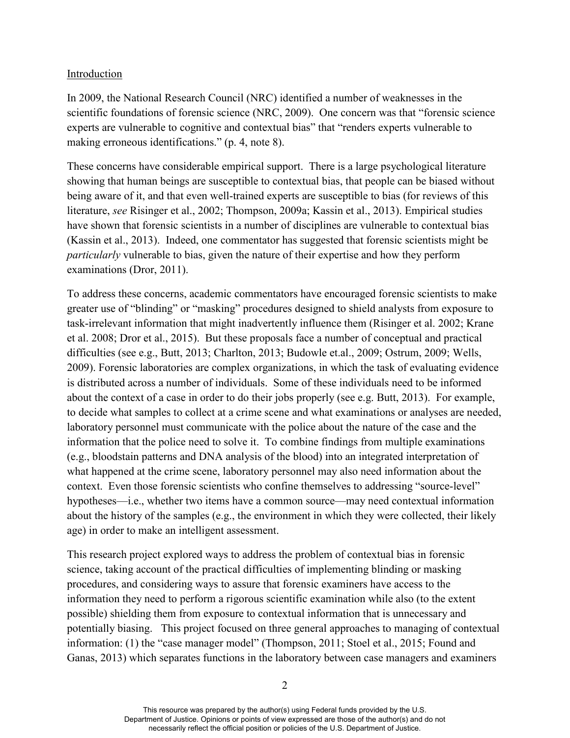### Introduction

In 2009, the National Research Council (NRC) identified a number of weaknesses in the scientific foundations of forensic science (NRC, 2009). One concern was that "forensic science experts are vulnerable to cognitive and contextual bias" that "renders experts vulnerable to making erroneous identifications." (p. 4, note 8).

These concerns have considerable empirical support. There is a large psychological literature showing that human beings are susceptible to contextual bias, that people can be biased without being aware of it, and that even well-trained experts are susceptible to bias (for reviews of this literature, *see* Risinger et al., 2002; Thompson, 2009a; Kassin et al., 2013). Empirical studies have shown that forensic scientists in a number of disciplines are vulnerable to contextual bias (Kassin et al., 2013). Indeed, one commentator has suggested that forensic scientists might be *particularly* vulnerable to bias, given the nature of their expertise and how they perform examinations (Dror, 2011).

To address these concerns, academic commentators have encouraged forensic scientists to make greater use of "blinding" or "masking" procedures designed to shield analysts from exposure to task-irrelevant information that might inadvertently influence them (Risinger et al. 2002; Krane et al. 2008; Dror et al., 2015). But these proposals face a number of conceptual and practical difficulties (see e.g., Butt, 2013; Charlton, 2013; Budowle et.al., 2009; Ostrum, 2009; Wells, 2009). Forensic laboratories are complex organizations, in which the task of evaluating evidence is distributed across a number of individuals. Some of these individuals need to be informed about the context of a case in order to do their jobs properly (see e.g. Butt, 2013). For example, to decide what samples to collect at a crime scene and what examinations or analyses are needed, laboratory personnel must communicate with the police about the nature of the case and the information that the police need to solve it. To combine findings from multiple examinations (e.g., bloodstain patterns and DNA analysis of the blood) into an integrated interpretation of what happened at the crime scene, laboratory personnel may also need information about the context. Even those forensic scientists who confine themselves to addressing "source-level" hypotheses—i.e., whether two items have a common source—may need contextual information about the history of the samples (e.g., the environment in which they were collected, their likely age) in order to make an intelligent assessment.

This research project explored ways to address the problem of contextual bias in forensic science, taking account of the practical difficulties of implementing blinding or masking procedures, and considering ways to assure that forensic examiners have access to the information they need to perform a rigorous scientific examination while also (to the extent possible) shielding them from exposure to contextual information that is unnecessary and potentially biasing. This project focused on three general approaches to managing of contextual information: (1) the "case manager model" (Thompson, 2011; Stoel et al., 2015; Found and Ganas, 2013) which separates functions in the laboratory between case managers and examiners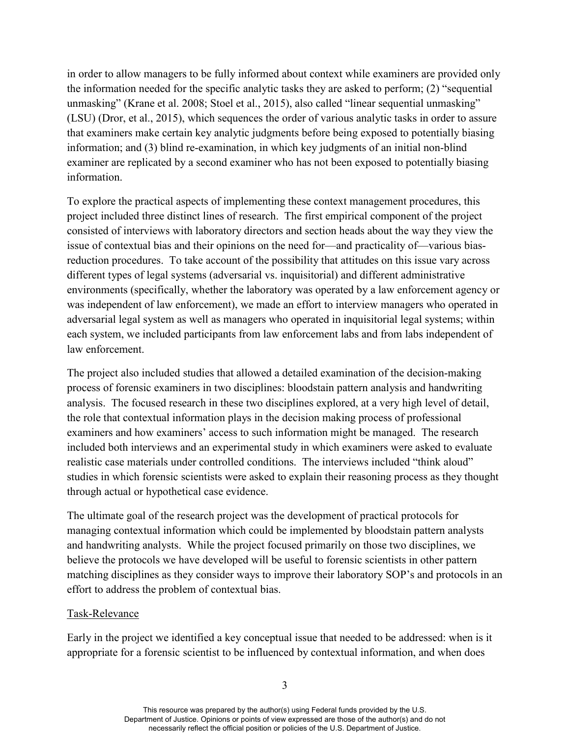in order to allow managers to be fully informed about context while examiners are provided only the information needed for the specific analytic tasks they are asked to perform; (2) "sequential unmasking" (Krane et al. 2008; Stoel et al., 2015), also called "linear sequential unmasking" (LSU) (Dror, et al., 2015), which sequences the order of various analytic tasks in order to assure that examiners make certain key analytic judgments before being exposed to potentially biasing information; and (3) blind re-examination, in which key judgments of an initial non-blind examiner are replicated by a second examiner who has not been exposed to potentially biasing information.

To explore the practical aspects of implementing these context management procedures, this project included three distinct lines of research. The first empirical component of the project consisted of interviews with laboratory directors and section heads about the way they view the issue of contextual bias and their opinions on the need for—and practicality of—various biasreduction procedures. To take account of the possibility that attitudes on this issue vary across different types of legal systems (adversarial vs. inquisitorial) and different administrative environments (specifically, whether the laboratory was operated by a law enforcement agency or was independent of law enforcement), we made an effort to interview managers who operated in adversarial legal system as well as managers who operated in inquisitorial legal systems; within each system, we included participants from law enforcement labs and from labs independent of law enforcement.

The project also included studies that allowed a detailed examination of the decision-making process of forensic examiners in two disciplines: bloodstain pattern analysis and handwriting analysis. The focused research in these two disciplines explored, at a very high level of detail, the role that contextual information plays in the decision making process of professional examiners and how examiners' access to such information might be managed. The research included both interviews and an experimental study in which examiners were asked to evaluate realistic case materials under controlled conditions. The interviews included "think aloud" studies in which forensic scientists were asked to explain their reasoning process as they thought through actual or hypothetical case evidence.

The ultimate goal of the research project was the development of practical protocols for managing contextual information which could be implemented by bloodstain pattern analysts and handwriting analysts. While the project focused primarily on those two disciplines, we believe the protocols we have developed will be useful to forensic scientists in other pattern matching disciplines as they consider ways to improve their laboratory SOP's and protocols in an effort to address the problem of contextual bias.

#### Task-Relevance

Early in the project we identified a key conceptual issue that needed to be addressed: when is it appropriate for a forensic scientist to be influenced by contextual information, and when does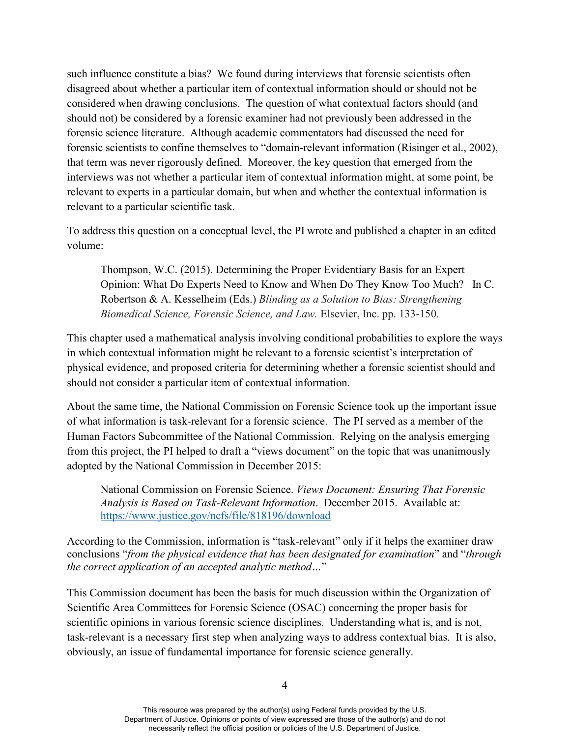such influence constitute a bias? We found during interviews that forensic scientists often disagreed about whether a particular item of contextual information should or should not be considered when drawing conclusions. The question of what contextual factors should (and should not) be considered by a forensic examiner had not previously been addressed in the forensic science literature. Although academic commentators had discussed the need for forensic scientists to confine themselves to "domain-relevant information (Risinger et al., 2002), that term was never rigorously defined. Moreover, the key question that emerged from the interviews was not whether a particular item of contextual information might, at some point, be relevant to experts in a particular domain, but when and whether the contextual information is relevant to a particular scientific task.

To address this question on a conceptual level, the PI wrote and published a chapter in an edited volume:

Thompson, W.C. (2015). Determining the Proper Evidentiary Basis for an Expert Opinion: What Do Experts Need to Know and When Do They Know Too Much? In C. Robertson & A. Kesselheim (Eds.) *Blinding as a Solution to Bias: Strengthening Biomedical Science, Forensic Science, and Law.* Elsevier, Inc. pp. 133-150.

This chapter used a mathematical analysis involving conditional probabilities to explore the ways in which contextual information might be relevant to a forensic scientist's interpretation of physical evidence, and proposed criteria for determining whether a forensic scientist should and should not consider a particular item of contextual information.

About the same time, the National Commission on Forensic Science took up the important issue of what information is task-relevant for a forensic science. The PI served as a member of the Human Factors Subcommittee of the National Commission. Relying on the analysis emerging from this project, the PI helped to draft a "views document" on the topic that was unanimously adopted by the National Commission in December 2015:

National Commission on Forensic Science. *Views Document: Ensuring That Forensic Analysis is Based on Task-Relevant Information*. December 2015. Available at: <https://www.justice.gov/ncfs/file/818196/download>

According to the Commission, information is "task-relevant" only if it helps the examiner draw conclusions "*from the physical evidence that has been designated for examination*" and "*through the correct application of an accepted analytic method…*"

This Commission document has been the basis for much discussion within the Organization of Scientific Area Committees for Forensic Science (OSAC) concerning the proper basis for scientific opinions in various forensic science disciplines. Understanding what is, and is not, task-relevant is a necessary first step when analyzing ways to address contextual bias. It is also, obviously, an issue of fundamental importance for forensic science generally.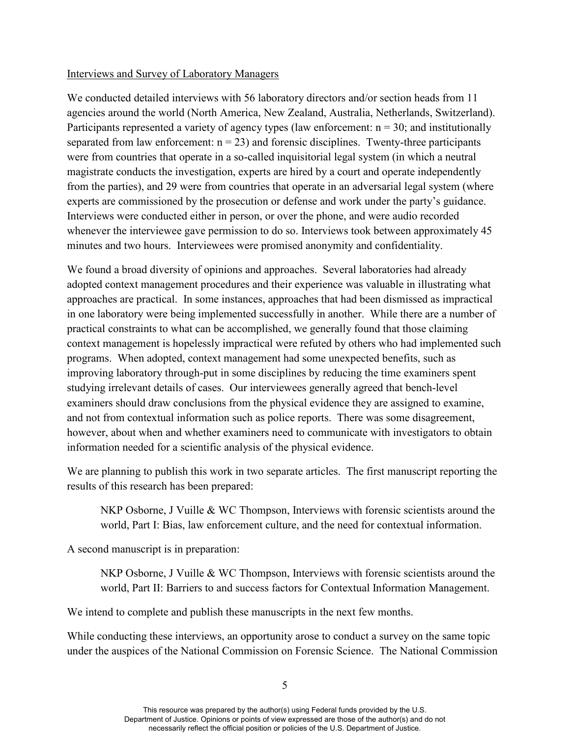#### Interviews and Survey of Laboratory Managers

We conducted detailed interviews with 56 laboratory directors and/or section heads from 11 agencies around the world (North America, New Zealand, Australia, Netherlands, Switzerland). Participants represented a variety of agency types (law enforcement:  $n = 30$ ; and institutionally separated from law enforcement:  $n = 23$ ) and forensic disciplines. Twenty-three participants were from countries that operate in a so-called inquisitorial legal system (in which a neutral magistrate conducts the investigation, experts are hired by a court and operate independently from the parties), and 29 were from countries that operate in an adversarial legal system (where experts are commissioned by the prosecution or defense and work under the party's guidance. Interviews were conducted either in person, or over the phone, and were audio recorded whenever the interviewee gave permission to do so. Interviews took between approximately 45 minutes and two hours. Interviewees were promised anonymity and confidentiality.

We found a broad diversity of opinions and approaches. Several laboratories had already adopted context management procedures and their experience was valuable in illustrating what approaches are practical. In some instances, approaches that had been dismissed as impractical in one laboratory were being implemented successfully in another. While there are a number of practical constraints to what can be accomplished, we generally found that those claiming context management is hopelessly impractical were refuted by others who had implemented such programs. When adopted, context management had some unexpected benefits, such as improving laboratory through-put in some disciplines by reducing the time examiners spent studying irrelevant details of cases. Our interviewees generally agreed that bench-level examiners should draw conclusions from the physical evidence they are assigned to examine, and not from contextual information such as police reports. There was some disagreement, however, about when and whether examiners need to communicate with investigators to obtain information needed for a scientific analysis of the physical evidence.

We are planning to publish this work in two separate articles. The first manuscript reporting the results of this research has been prepared:

NKP Osborne, J Vuille & WC Thompson, Interviews with forensic scientists around the world, Part I: Bias, law enforcement culture, and the need for contextual information.

A second manuscript is in preparation:

NKP Osborne, J Vuille & WC Thompson, Interviews with forensic scientists around the world, Part II: Barriers to and success factors for Contextual Information Management.

We intend to complete and publish these manuscripts in the next few months.

While conducting these interviews, an opportunity arose to conduct a survey on the same topic under the auspices of the National Commission on Forensic Science. The National Commission

This resource was prepared by the author(s) using Federal funds provided by the U.S. Department of Justice. Opinions or points of view expressed are those of the author(s) and do not necessarily reflect the official position or policies of the U.S. Department of Justice.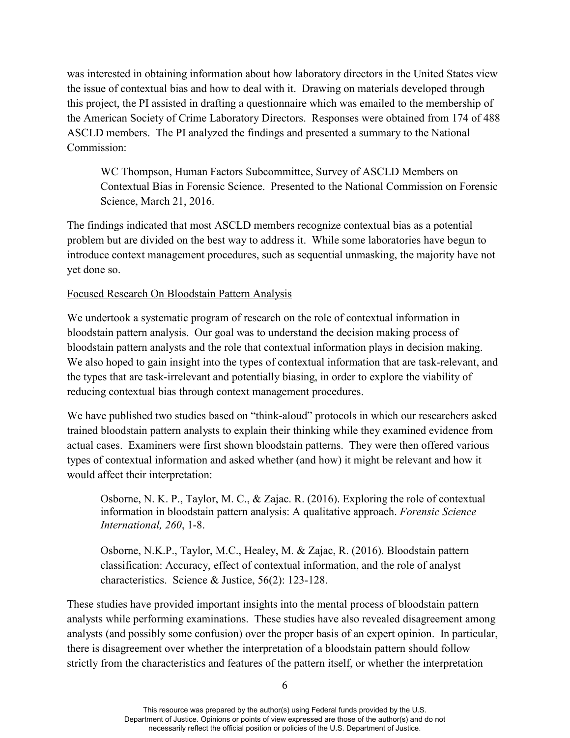was interested in obtaining information about how laboratory directors in the United States view the issue of contextual bias and how to deal with it. Drawing on materials developed through this project, the PI assisted in drafting a questionnaire which was emailed to the membership of the American Society of Crime Laboratory Directors. Responses were obtained from 174 of 488 ASCLD members. The PI analyzed the findings and presented a summary to the National Commission:

WC Thompson, Human Factors Subcommittee, Survey of ASCLD Members on Contextual Bias in Forensic Science. Presented to the National Commission on Forensic Science, March 21, 2016.

The findings indicated that most ASCLD members recognize contextual bias as a potential problem but are divided on the best way to address it. While some laboratories have begun to introduce context management procedures, such as sequential unmasking, the majority have not yet done so.

## Focused Research On Bloodstain Pattern Analysis

We undertook a systematic program of research on the role of contextual information in bloodstain pattern analysis. Our goal was to understand the decision making process of bloodstain pattern analysts and the role that contextual information plays in decision making. We also hoped to gain insight into the types of contextual information that are task-relevant, and the types that are task-irrelevant and potentially biasing, in order to explore the viability of reducing contextual bias through context management procedures.

We have published two studies based on "think-aloud" protocols in which our researchers asked trained bloodstain pattern analysts to explain their thinking while they examined evidence from actual cases. Examiners were first shown bloodstain patterns. They were then offered various types of contextual information and asked whether (and how) it might be relevant and how it would affect their interpretation:

Osborne, N. K. P., Taylor, M. C., & Zajac. R. (2016). Exploring the role of contextual information in bloodstain pattern analysis: A qualitative approach. *Forensic Science International, 260*, 1-8.

Osborne, N.K.P., Taylor, M.C., Healey, M. & Zajac, R. (2016). Bloodstain pattern classification: Accuracy, effect of contextual information, and the role of analyst characteristics. Science & Justice, 56(2): 123-128.

These studies have provided important insights into the mental process of bloodstain pattern analysts while performing examinations. These studies have also revealed disagreement among analysts (and possibly some confusion) over the proper basis of an expert opinion. In particular, there is disagreement over whether the interpretation of a bloodstain pattern should follow strictly from the characteristics and features of the pattern itself, or whether the interpretation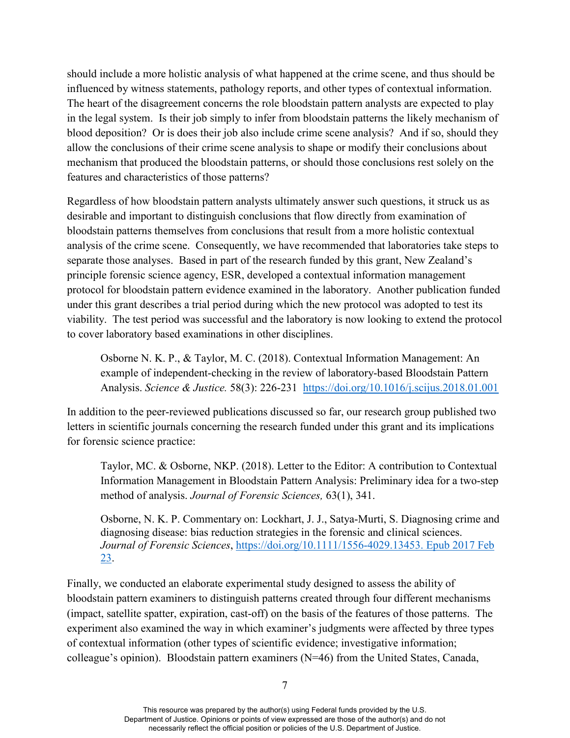should include a more holistic analysis of what happened at the crime scene, and thus should be influenced by witness statements, pathology reports, and other types of contextual information. The heart of the disagreement concerns the role bloodstain pattern analysts are expected to play in the legal system. Is their job simply to infer from bloodstain patterns the likely mechanism of blood deposition? Or is does their job also include crime scene analysis? And if so, should they allow the conclusions of their crime scene analysis to shape or modify their conclusions about mechanism that produced the bloodstain patterns, or should those conclusions rest solely on the features and characteristics of those patterns?

Regardless of how bloodstain pattern analysts ultimately answer such questions, it struck us as desirable and important to distinguish conclusions that flow directly from examination of bloodstain patterns themselves from conclusions that result from a more holistic contextual analysis of the crime scene. Consequently, we have recommended that laboratories take steps to separate those analyses. Based in part of the research funded by this grant, New Zealand's principle forensic science agency, ESR, developed a contextual information management protocol for bloodstain pattern evidence examined in the laboratory. Another publication funded under this grant describes a trial period during which the new protocol was adopted to test its viability. The test period was successful and the laboratory is now looking to extend the protocol to cover laboratory based examinations in other disciplines.

Osborne N. K. P., & Taylor, M. C. (2018). Contextual Information Management: An example of independent-checking in the review of laboratory-based Bloodstain Pattern Analysis. *Science & Justice.* 58(3): 226-231 <https://doi.org/10.1016/j.scijus.2018.01.001>

In addition to the peer-reviewed publications discussed so far, our research group published two letters in scientific journals concerning the research funded under this grant and its implications for forensic science practice:

Taylor, MC. & Osborne, NKP. (2018). Letter to the Editor: A contribution to Contextual Information Management in Bloodstain Pattern Analysis: Preliminary idea for a two-step method of analysis. *Journal of Forensic Sciences,* 63(1), 341.

Osborne, N. K. P. Commentary on: Lockhart, J. J., Satya-Murti, S. Diagnosing crime and diagnosing disease: bias reduction strategies in the forensic and clinical sciences. *Journal of Forensic Sciences*, [https://doi.org/10.1111/1556-4029.13453. Epub 2017 Feb](https://doi.org/10.1111/1556-4029.13453.%20Epub%202017%20Feb%2023)  [23.](https://doi.org/10.1111/1556-4029.13453.%20Epub%202017%20Feb%2023)

Finally, we conducted an elaborate experimental study designed to assess the ability of bloodstain pattern examiners to distinguish patterns created through four different mechanisms (impact, satellite spatter, expiration, cast-off) on the basis of the features of those patterns. The experiment also examined the way in which examiner's judgments were affected by three types of contextual information (other types of scientific evidence; investigative information; colleague's opinion). Bloodstain pattern examiners (N=46) from the United States, Canada,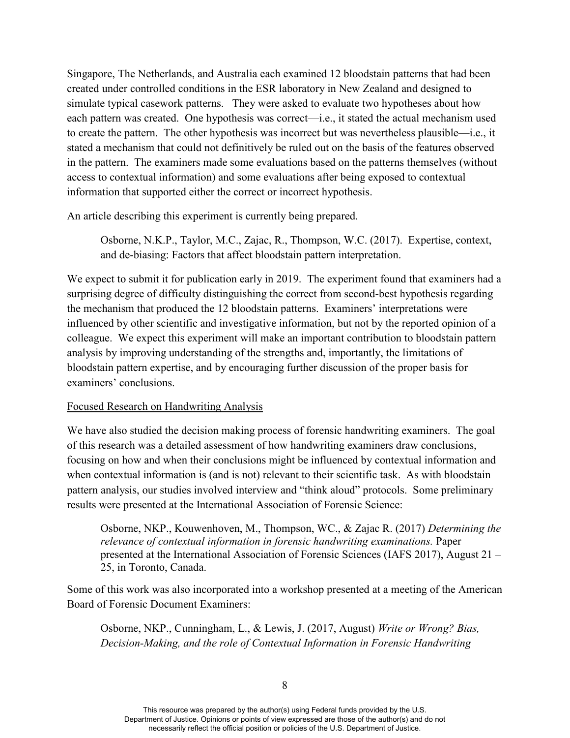Singapore, The Netherlands, and Australia each examined 12 bloodstain patterns that had been created under controlled conditions in the ESR laboratory in New Zealand and designed to simulate typical casework patterns. They were asked to evaluate two hypotheses about how each pattern was created. One hypothesis was correct—i.e., it stated the actual mechanism used to create the pattern. The other hypothesis was incorrect but was nevertheless plausible—i.e., it stated a mechanism that could not definitively be ruled out on the basis of the features observed in the pattern. The examiners made some evaluations based on the patterns themselves (without access to contextual information) and some evaluations after being exposed to contextual information that supported either the correct or incorrect hypothesis.

An article describing this experiment is currently being prepared.

Osborne, N.K.P., Taylor, M.C., Zajac, R., Thompson, W.C. (2017). Expertise, context, and de-biasing: Factors that affect bloodstain pattern interpretation.

We expect to submit it for publication early in 2019. The experiment found that examiners had a surprising degree of difficulty distinguishing the correct from second-best hypothesis regarding the mechanism that produced the 12 bloodstain patterns. Examiners' interpretations were influenced by other scientific and investigative information, but not by the reported opinion of a colleague. We expect this experiment will make an important contribution to bloodstain pattern analysis by improving understanding of the strengths and, importantly, the limitations of bloodstain pattern expertise, and by encouraging further discussion of the proper basis for examiners' conclusions.

#### Focused Research on Handwriting Analysis

We have also studied the decision making process of forensic handwriting examiners. The goal of this research was a detailed assessment of how handwriting examiners draw conclusions, focusing on how and when their conclusions might be influenced by contextual information and when contextual information is (and is not) relevant to their scientific task. As with bloodstain pattern analysis, our studies involved interview and "think aloud" protocols. Some preliminary results were presented at the International Association of Forensic Science:

Osborne, NKP., Kouwenhoven, M., Thompson, WC., & Zajac R. (2017) *Determining the relevance of contextual information in forensic handwriting examinations.* Paper presented at the International Association of Forensic Sciences (IAFS 2017), August 21 – 25, in Toronto, Canada.

Some of this work was also incorporated into a workshop presented at a meeting of the American Board of Forensic Document Examiners:

Osborne, NKP., Cunningham, L., & Lewis, J. (2017, August) *Write or Wrong? Bias, Decision-Making, and the role of Contextual Information in Forensic Handwriting*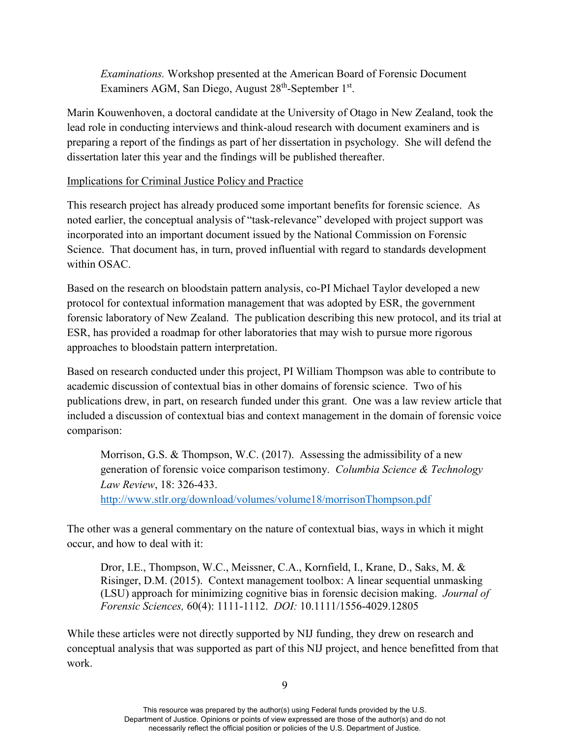*Examinations.* Workshop presented at the American Board of Forensic Document Examiners AGM, San Diego, August 28<sup>th</sup>-September 1<sup>st</sup>.

Marin Kouwenhoven, a doctoral candidate at the University of Otago in New Zealand, took the lead role in conducting interviews and think-aloud research with document examiners and is preparing a report of the findings as part of her dissertation in psychology. She will defend the dissertation later this year and the findings will be published thereafter.

## Implications for Criminal Justice Policy and Practice

This research project has already produced some important benefits for forensic science. As noted earlier, the conceptual analysis of "task-relevance" developed with project support was incorporated into an important document issued by the National Commission on Forensic Science. That document has, in turn, proved influential with regard to standards development within OSAC.

Based on the research on bloodstain pattern analysis, co-PI Michael Taylor developed a new protocol for contextual information management that was adopted by ESR, the government forensic laboratory of New Zealand. The publication describing this new protocol, and its trial at ESR, has provided a roadmap for other laboratories that may wish to pursue more rigorous approaches to bloodstain pattern interpretation.

Based on research conducted under this project, PI William Thompson was able to contribute to academic discussion of contextual bias in other domains of forensic science. Two of his publications drew, in part, on research funded under this grant. One was a law review article that included a discussion of contextual bias and context management in the domain of forensic voice comparison:

Morrison, G.S. & Thompson, W.C. (2017). Assessing the admissibility of a new generation of forensic voice comparison testimony. *Columbia Science & Technology Law Review*, 18: 326-433.

<http://www.stlr.org/download/volumes/volume18/morrisonThompson.pdf>

The other was a general commentary on the nature of contextual bias, ways in which it might occur, and how to deal with it:

Dror, I.E., Thompson, W.C., Meissner, C.A., Kornfield, I., Krane, D., Saks, M. & Risinger, D.M. (2015). Context management toolbox: A linear sequential unmasking (LSU) approach for minimizing cognitive bias in forensic decision making. *Journal of Forensic Sciences,* 60(4): 1111-1112. *DOI:* 10.1111/1556-4029.12805

While these articles were not directly supported by NIJ funding, they drew on research and conceptual analysis that was supported as part of this NIJ project, and hence benefitted from that work.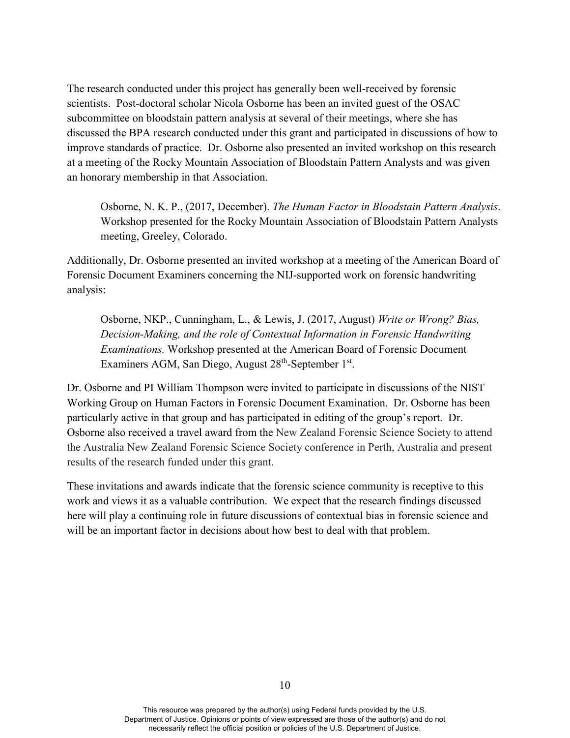The research conducted under this project has generally been well-received by forensic scientists. Post-doctoral scholar Nicola Osborne has been an invited guest of the OSAC subcommittee on bloodstain pattern analysis at several of their meetings, where she has discussed the BPA research conducted under this grant and participated in discussions of how to improve standards of practice. Dr. Osborne also presented an invited workshop on this research at a meeting of the Rocky Mountain Association of Bloodstain Pattern Analysts and was given an honorary membership in that Association.

Osborne, N. K. P., (2017, December). *The Human Factor in Bloodstain Pattern Analysis*. Workshop presented for the Rocky Mountain Association of Bloodstain Pattern Analysts meeting, Greeley, Colorado.

Additionally, Dr. Osborne presented an invited workshop at a meeting of the American Board of Forensic Document Examiners concerning the NIJ-supported work on forensic handwriting analysis:

Osborne, NKP., Cunningham, L., & Lewis, J. (2017, August) *Write or Wrong? Bias, Decision-Making, and the role of Contextual Information in Forensic Handwriting Examinations.* Workshop presented at the American Board of Forensic Document Examiners AGM, San Diego, August 28<sup>th</sup>-September 1<sup>st</sup>.

Dr. Osborne and PI William Thompson were invited to participate in discussions of the NIST Working Group on Human Factors in Forensic Document Examination. Dr. Osborne has been particularly active in that group and has participated in editing of the group's report. Dr. Osborne also received a travel award from the New Zealand Forensic Science Society to attend the Australia New Zealand Forensic Science Society conference in Perth, Australia and present results of the research funded under this grant.

These invitations and awards indicate that the forensic science community is receptive to this work and views it as a valuable contribution. We expect that the research findings discussed here will play a continuing role in future discussions of contextual bias in forensic science and will be an important factor in decisions about how best to deal with that problem.